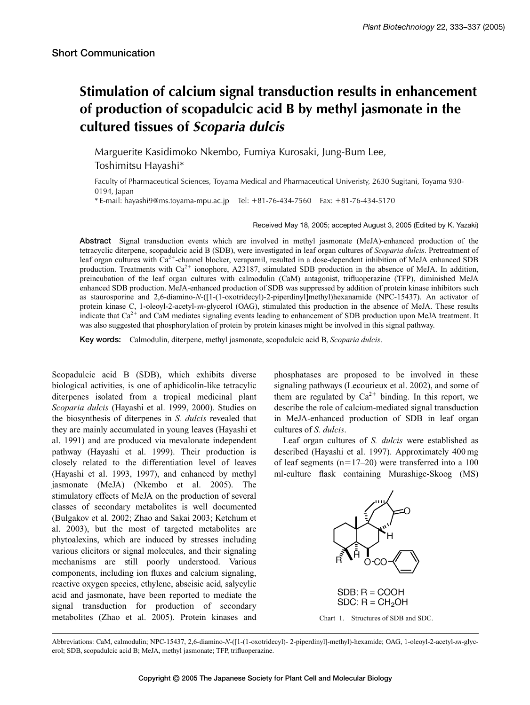## **Stimulation of calcium signal transduction results in enhancement of production of scopadulcic acid B by methyl jasmonate in the cultured tissues of** *Scoparia dulcis*

Marguerite Kasidimoko Nkembo, Fumiya Kurosaki, Jung-Bum Lee, Toshimitsu Hayashi\*

Faculty of Pharmaceutical Sciences, Toyama Medical and Pharmaceutical Univeristy, 2630 Sugitani, Toyama 930- 0194, Japan

 $*$  E-mail: hayashi9@ms.toyama-mpu.ac.jp Tel:  $+81-76-434-7560$  Fax:  $+81-76-434-5170$ 

Received May 18, 2005; accepted August 3, 2005 (Edited by K. Yazaki)

**Abstract** Signal transduction events which are involved in methyl jasmonate (MeJA)-enhanced production of the tetracyclic diterpene, scopadulcic acid B (SDB), were investigated in leaf organ cultures of *Scoparia dulcis*. Pretreatment of leaf organ cultures with  $Ca^{2+}$ -channel blocker, verapamil, resulted in a dose-dependent inhibition of MeJA enhanced SDB production. Treatments with  $Ca^{2+}$  ionophore, A23187, stimulated SDB production in the absence of MeJA. In addition, preincubation of the leaf organ cultures with calmodulin (CaM) antagonist, trifluoperazine (TFP), diminished MeJA enhanced SDB production. MeJA-enhanced production of SDB was suppressed by addition of protein kinase inhibitors such as staurosporine and 2,6-diamino-*N*-([1-(1-oxotridecyl)-2-piperdinyl]methyl)hexanamide (NPC-15437). An activator of protein kinase C, 1-oleoyl-2-acetyl-*sn*-glycerol (OAG), stimulated this production in the absence of MeJA. These results indicate that  $Ca^{2+}$  and CaM mediates signaling events leading to enhancement of SDB production upon MeJA treatment. It was also suggested that phosphorylation of protein by protein kinases might be involved in this signal pathway.

**Key words:** Calmodulin, diterpene, methyl jasmonate, scopadulcic acid B, *Scoparia dulcis*.

Scopadulcic acid B (SDB), which exhibits diverse biological activities, is one of aphidicolin-like tetracylic diterpenes isolated from a tropical medicinal plant *Scoparia dulcis* (Hayashi et al. 1999, 2000). Studies on the biosynthesis of diterpenes in *S. dulcis* revealed that they are mainly accumulated in young leaves (Hayashi et al. 1991) and are produced via mevalonate independent pathway (Hayashi et al. 1999). Their production is closely related to the differentiation level of leaves (Hayashi et al. 1993, 1997), and enhanced by methyl jasmonate (MeJA) (Nkembo et al. 2005). The stimulatory effects of MeJA on the production of several classes of secondary metabolites is well documented (Bulgakov et al. 2002; Zhao and Sakai 2003; Ketchum et al. 2003), but the most of targeted metabolites are phytoalexins, which are induced by stresses including various elicitors or signal molecules, and their signaling mechanisms are still poorly understood. Various components, including ion fluxes and calcium signaling, reactive oxygen species, ethylene, abscisic acid, salycylic acid and jasmonate, have been reported to mediate the signal transduction for production of secondary metabolites (Zhao et al. 2005). Protein kinases and phosphatases are proposed to be involved in these signaling pathways (Lecourieux et al. 2002), and some of them are regulated by  $Ca^{2+}$  binding. In this report, we describe the role of calcium-mediated signal transduction in MeJA-enhanced production of SDB in leaf organ cultures of *S. dulcis*.

Leaf organ cultures of *S. dulcis* were established as described (Hayashi et al. 1997). Approximately 400 mg of leaf segments  $(n=17-20)$  were transferred into a 100 ml-culture flask containing Murashige-Skoog (MS)



Abbreviations: CaM, calmodulin; NPC-15437, 2,6-diamino-*N*-([1-(1-oxotridecyl)- 2-piperdinyl]-methyl)-hexamide; OAG, 1-oleoyl-2-acetyl-*sn*-glycerol; SDB, scopadulcic acid B; MeJA, methyl jasmonate; TFP, trifluoperazine.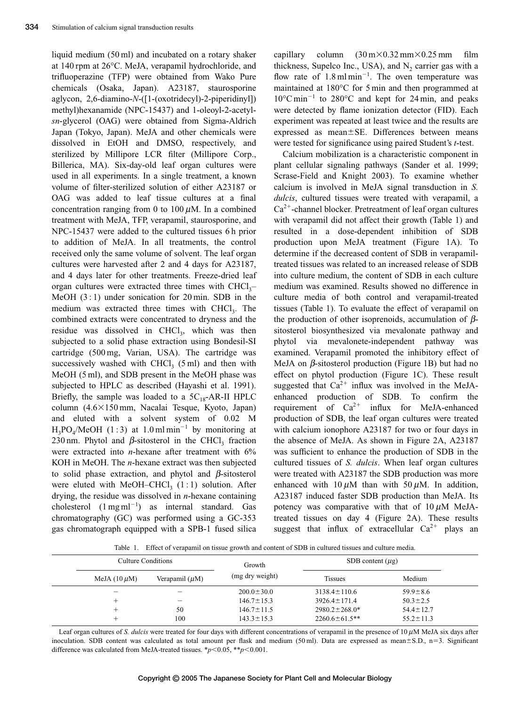liquid medium (50 ml) and incubated on a rotary shaker at 140 rpm at 26°C. MeJA, verapamil hydrochloride, and trifluoperazine (TFP) were obtained from Wako Pure chemicals (Osaka, Japan). A23187, staurosporine aglycon, 2,6-diamino-*N*-([1-(oxotridecyl)-2-piperidinyl]) methyl)hexanamide (NPC-15437) and 1-oleoyl-2-acetyl*sn*-glycerol (OAG) were obtained from Sigma-Aldrich Japan (Tokyo, Japan). MeJA and other chemicals were dissolved in EtOH and DMSO, respectively, and sterilized by Millipore LCR filter (Millipore Corp., Billerica, MA). Six-day-old leaf organ cultures were used in all experiments. In a single treatment, a known volume of filter-sterilized solution of either A23187 or OAG was added to leaf tissue cultures at a final concentration ranging from 0 to 100  $\mu$ M. In a combined treatment with MeJA, TFP, verapamil, staurosporine, and NPC-15437 were added to the cultured tissues 6 h prior to addition of MeJA. In all treatments, the control received only the same volume of solvent. The leaf organ cultures were harvested after 2 and 4 days for A23187, and 4 days later for other treatments. Freeze-dried leaf organ cultures were extracted three times with  $CHCl<sub>3</sub>–$ MeOH  $(3:1)$  under sonication for 20 min. SDB in the medium was extracted three times with CHCl<sub>3</sub>. The combined extracts were concentrated to dryness and the residue was dissolved in CHCl<sub>3</sub>, which was then subjected to a solid phase extraction using Bondesil-SI cartridge (500 mg, Varian, USA). The cartridge was successively washed with  $CHCl<sub>3</sub>$  (5 ml) and then with MeOH (5 ml), and SDB present in the MeOH phase was subjected to HPLC as described (Hayashi et al. 1991). Briefly, the sample was loaded to a  $5C_{18}$ -AR-II HPLC column (4.6×150 mm, Nacalai Tesque, Kyoto, Japan) and eluted with a solvent system of 0.02 M  $H_3PO_4/MeOH$  (1:3) at 1.0 ml min<sup>-1</sup> by monitoring at 230 nm. Phytol and  $\beta$ -sitosterol in the CHCl<sub>3</sub> fraction were extracted into *n*-hexane after treatment with 6% KOH in MeOH. The *n*-hexane extract was then subjected to solid phase extraction, and phytol and  $\beta$ -sitosterol were eluted with MeOH–CHCl<sub>3</sub>  $(1:1)$  solution. After drying, the residue was dissolved in *n*-hexane containing cholesterol  $(1 \text{ mg ml}^{-1})$  as internal standard. Gas chromatography (GC) was performed using a GC-353 gas chromatograph equipped with a SPB-1 fused silica

capillary column  $(30 \text{ m} \times 0.32 \text{ mm} \times 0.25 \text{ mm}$  film thickness, Supelco Inc., USA), and  $N<sub>2</sub>$  carrier gas with a flow rate of  $1.8 \text{ ml min}^{-1}$ . The oven temperature was maintained at 180°C for 5 min and then programmed at  $10^{\circ}$ C min<sup>-1</sup> to 280°C and kept for 24 min, and peaks were detected by flame ionization detector (FID). Each experiment was repeated at least twice and the results are expressed as mean $\pm$ SE. Differences between means were tested for significance using paired Student's *t*-test.

Calcium mobilization is a characteristic component in plant cellular signaling pathways (Sander et al. 1999; Scrase-Field and Knight 2003). To examine whether calcium is involved in MeJA signal transduction in *S. dulcis*, cultured tissues were treated with verapamil, a  $Ca<sup>2+</sup>$ -channel blocker. Pretreatment of leaf organ cultures with verapamil did not affect their growth (Table 1) and resulted in a dose-dependent inhibition of SDB production upon MeJA treatment (Figure 1A). To determine if the decreased content of SDB in verapamiltreated tissues was related to an increased release of SDB into culture medium, the content of SDB in each culture medium was examined. Results showed no difference in culture media of both control and verapamil-treated tissues (Table 1). To evaluate the effect of verapamil on the production of other isoprenoids, accumulation of  $\beta$ sitosterol biosynthesized via mevalonate pathway and phytol via mevalonete-independent pathway was examined. Verapamil promoted the inhibitory effect of MeJA on  $\beta$ -sitosterol production (Figure 1B) but had no effect on phytol production (Figure 1C). These result suggested that  $Ca^{2+}$  influx was involved in the MeJAenhanced production of SDB. To confirm the requirement of  $Ca^{2+}$  influx for MeJA-enhanced production of SDB, the leaf organ cultures were treated with calcium ionophore A23187 for two or four days in the absence of MeJA. As shown in Figure 2A, A23187 was sufficient to enhance the production of SDB in the cultured tissues of *S. dulcis*. When leaf organ cultures were treated with A23187 the SDB production was more enhanced with  $10 \mu M$  than with  $50 \mu M$ . In addition, A23187 induced faster SDB production than MeJA. Its potency was comparative with that of  $10 \mu M$  MeJAtreated tissues on day 4 (Figure 2A). These results suggest that influx of extracellular  $Ca^{2+}$  plays an

Table 1. Effect of verapamil on tissue growth and content of SDB in cultured tissues and culture media.

| Culture Conditions |                     | Growth           | SDB content $(\mu$ g) |                 |
|--------------------|---------------------|------------------|-----------------------|-----------------|
| MeJA $(10 \mu M)$  | Verapamil $(\mu M)$ | (mg dry weight)  | <b>Tissues</b>        | Medium          |
|                    |                     | $200.0 \pm 30.0$ | $3138.4 \pm 110.6$    | $59.9 \pm 8.6$  |
|                    | $\qquad \qquad$     | $146.7 \pm 15.3$ | $3926.4 \pm 171.4$    | $50.3 \pm 2.5$  |
|                    | 50                  | $146.7 \pm 11.5$ | $2980.2 \pm 268.0*$   | $54.4 \pm 12.7$ |
|                    | 100                 | $143.3 \pm 15.3$ | $2260.6 \pm 61.5$ **  | $55.2 \pm 11.3$ |

Leaf organ cultures of *S. dulcis* were treated for four days with different concentrations of verapamil in the presence of 10  $\mu$ M MeJA six days after inoculation. SDB content was calculated as total amount per flask and medium  $(50 \text{ ml})$ . Data are expressed as mean $\pm$ S.D., n=3. Significant difference was calculated from MeJA-treated tissues.  $\frac{*p}{0.05}$ ,  $\frac{*p}{0.001}$ .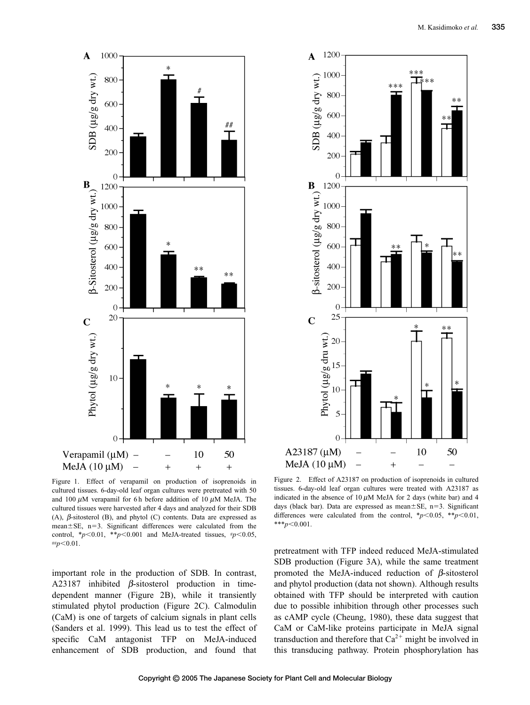



Figure 1. Effect of verapamil on production of isoprenoids in cultured tissues. 6-day-old leaf organ cultures were pretreated with 50 and 100  $\mu$ M verapamil for 6 h before addition of 10  $\mu$ M MeJA. The cultured tissues were harvested after 4 days and analyzed for their SDB (A),  $\beta$ -sitosterol (B), and phytol (C) contents. Data are expressed as  $mean \pm SE$ ,  $n=3$ . Significant differences were calculated from the control,  $*_{p}<0.01$ ,  $*_{p}<0.001$  and MeJA-treated tissues,  $*_{p}<0.05$ , # $p<$ 0.01.

important role in the production of SDB. In contrast, A23187 inhibited  $\beta$ -sitosterol production in timedependent manner (Figure 2B), while it transiently stimulated phytol production (Figure 2C). Calmodulin (CaM) is one of targets of calcium signals in plant cells (Sanders et al. 1999). This lead us to test the effect of specific CaM antagonist TFP on MeJA-induced enhancement of SDB production, and found that

Figure 2. Effect of A23187 on production of isoprenoids in cultured tissues. 6-day-old leaf organ cultures were treated with A23187 as indicated in the absence of  $10 \mu$ M MeJA for 2 days (white bar) and 4 days (black bar). Data are expressed as mean $\pm$ SE, n=3. Significant differences were calculated from the control,  $* p<0.05$ ,  $* p<0.01$ ,  $***p<0.001$ .

pretreatment with TFP indeed reduced MeJA-stimulated SDB production (Figure 3A), while the same treatment promoted the MeJA-induced reduction of  $\beta$ -sitosterol and phytol production (data not shown). Although results obtained with TFP should be interpreted with caution due to possible inhibition through other processes such as cAMP cycle (Cheung, 1980), these data suggest that CaM or CaM-like proteins participate in MeJA signal transduction and therefore that  $Ca^{2+}$  might be involved in this transducing pathway. Protein phosphorylation has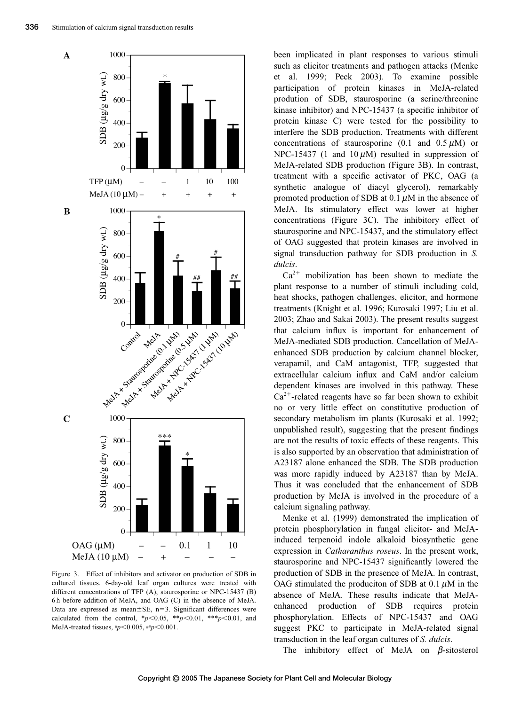

Figure 3. Effect of inhibitors and activator on production of SDB in cultured tissues. 6-day-old leaf organ cultures were treated with different concentrations of TFP (A), staurosporine or NPC-15437 (B) 6 h before addition of MeJA, and OAG (C) in the absence of MeJA. Data are expressed as mean $\pm$ SE, n=3. Significant differences were calculated from the control,  $*_{p}$ <0.05,  $*_{p}$  <0.01,  $*_{p}$  <0.01, and MeJA-treated tissues,  $\frac{dp}{0.005}$ ,  $\frac{mp}{0.001}$ .

been implicated in plant responses to various stimuli such as elicitor treatments and pathogen attacks (Menke et al. 1999; Peck 2003). To examine possible participation of protein kinases in MeJA-related prodution of SDB, staurosporine (a serine/threonine kinase inhibitor) and NPC-15437 (a specific inhibitor of protein kinase C) were tested for the possibility to interfere the SDB production. Treatments with different concentrations of staurosporine  $(0.1 \text{ and } 0.5 \mu \text{M})$  or NPC-15437 (1 and 10  $\mu$ M) resulted in suppression of MeJA-related SDB production (Figure 3B). In contrast, treatment with a specific activator of PKC, OAG (a synthetic analogue of diacyl glycerol), remarkably promoted production of SDB at 0.1  $\mu$ M in the absence of MeJA. Its stimulatory effect was lower at higher concentrations (Figure 3C). The inhibitory effect of staurosporine and NPC-15437, and the stimulatory effect of OAG suggested that protein kinases are involved in signal transduction pathway for SDB production in *S. dulcis*.

 $Ca<sup>2+</sup>$  mobilization has been shown to mediate the plant response to a number of stimuli including cold, heat shocks, pathogen challenges, elicitor, and hormone treatments (Knight et al. 1996; Kurosaki 1997; Liu et al. 2003; Zhao and Sakai 2003). The present results suggest that calcium influx is important for enhancement of MeJA-mediated SDB production. Cancellation of MeJAenhanced SDB production by calcium channel blocker, verapamil, and CaM antagonist, TFP, suggested that extracellular calcium influx and CaM and/or calcium dependent kinases are involved in this pathway. These  $Ca^{2+}$ -related reagents have so far been shown to exhibit no or very little effect on constitutive production of secondary metabolism im plants (Kurosaki et al. 1992; unpublished result), suggesting that the present findings are not the results of toxic effects of these reagents. This is also supported by an observation that administration of A23187 alone enhanced the SDB. The SDB production was more rapidly induced by A23187 than by MeJA. Thus it was concluded that the enhancement of SDB production by MeJA is involved in the procedure of a calcium signaling pathway.

Menke et al. (1999) demonstrated the implication of protein phosphorylation in fungal elicitor- and MeJAinduced terpenoid indole alkaloid biosynthetic gene expression in *Catharanthus roseus*. In the present work, staurosporine and NPC-15437 significantly lowered the production of SDB in the presence of MeJA. In contrast, OAG stimulated the produciton of SDB at 0.1  $\mu$ M in the absence of MeJA. These results indicate that MeJAenhanced production of SDB requires protein phosphorylation. Effects of NPC-15437 and OAG suggest PKC to participate in MeJA-related signal transduction in the leaf organ cultures of *S. dulcis*.

The inhibitory effect of MeJA on  $\beta$ -sitosterol